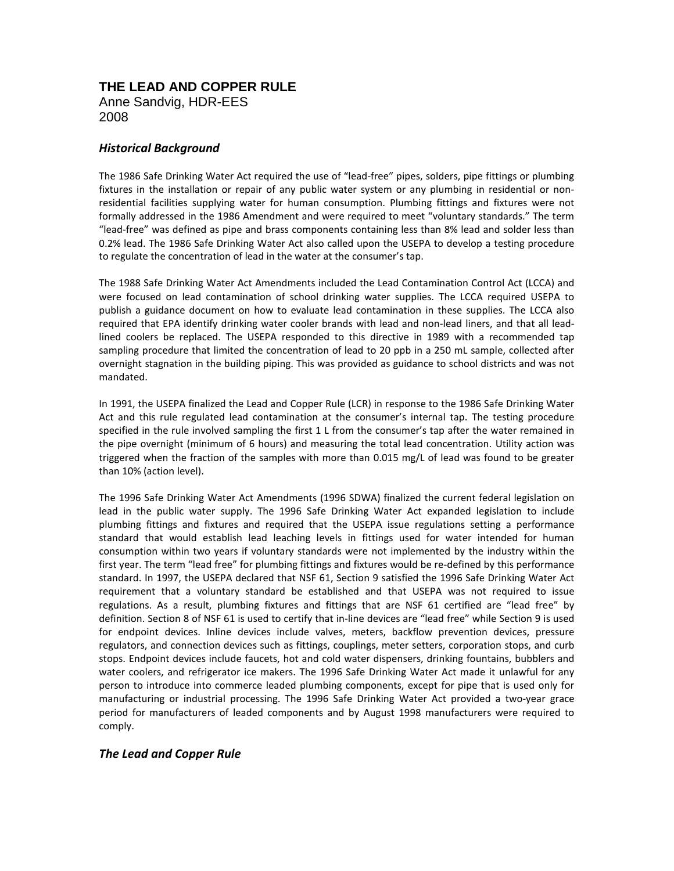# **THE LEAD AND COPPER RULE** Anne Sandvig, HDR-EES 2008

## *Historical Background*

The 1986 Safe Drinking Water Act required the use of "lead-free" pipes, solders, pipe fittings or plumbing fixtures in the installation or repair of any public water system or any plumbing in residential or nonresidential facilities supplying water for human consumption. Plumbing fittings and fixtures were not formally addressed in the 1986 Amendment and were required to meet "voluntary standards." The term "lead-free" was defined as pipe and brass components containing less than 8% lead and solder less than 0.2% lead. The 1986 Safe Drinking Water Act also called upon the USEPA to develop a testing procedure to regulate the concentration of lead in the water at the consumer's tap.

The 1988 Safe Drinking Water Act Amendments included the Lead Contamination Control Act (LCCA) and were focused on lead contamination of school drinking water supplies. The LCCA required USEPA to publish a guidance document on how to evaluate lead contamination in these supplies. The LCCA also required that EPA identify drinking water cooler brands with lead and non-lead liners, and that all leadlined coolers be replaced. The USEPA responded to this directive in 1989 with a recommended tap sampling procedure that limited the concentration of lead to 20 ppb in a 250 mL sample, collected after overnight stagnation in the building piping. This was provided as guidance to school districts and was not mandated.

In 1991, the USEPA finalized the Lead and Copper Rule (LCR) in response to the 1986 Safe Drinking Water Act and this rule regulated lead contamination at the consumer's internal tap. The testing procedure specified in the rule involved sampling the first 1 L from the consumer's tap after the water remained in the pipe overnight (minimum of 6 hours) and measuring the total lead concentration. Utility action was triggered when the fraction of the samples with more than 0.015 mg/L of lead was found to be greater than 10% (action level).

The 1996 Safe Drinking Water Act Amendments (1996 SDWA) finalized the current federal legislation on lead in the public water supply. The 1996 Safe Drinking Water Act expanded legislation to include plumbing fittings and fixtures and required that the USEPA issue regulations setting a performance standard that would establish lead leaching levels in fittings used for water intended for human consumption within two years if voluntary standards were not implemented by the industry within the first year. The term "lead free" for plumbing fittings and fixtures would be re-defined by this performance standard. In 1997, the USEPA declared that NSF 61, Section 9 satisfied the 1996 Safe Drinking Water Act requirement that a voluntary standard be established and that USEPA was not required to issue regulations. As a result, plumbing fixtures and fittings that are NSF 61 certified are "lead free" by definition. Section 8 of NSF 61 is used to certify that in-line devices are "lead free" while Section 9 is used for endpoint devices. Inline devices include valves, meters, backflow prevention devices, pressure regulators, and connection devices such as fittings, couplings, meter setters, corporation stops, and curb stops. Endpoint devices include faucets, hot and cold water dispensers, drinking fountains, bubblers and water coolers, and refrigerator ice makers. The 1996 Safe Drinking Water Act made it unlawful for any person to introduce into commerce leaded plumbing components, except for pipe that is used only for manufacturing or industrial processing. The 1996 Safe Drinking Water Act provided a two-year grace period for manufacturers of leaded components and by August 1998 manufacturers were required to comply.

## *The Lead and Copper Rule*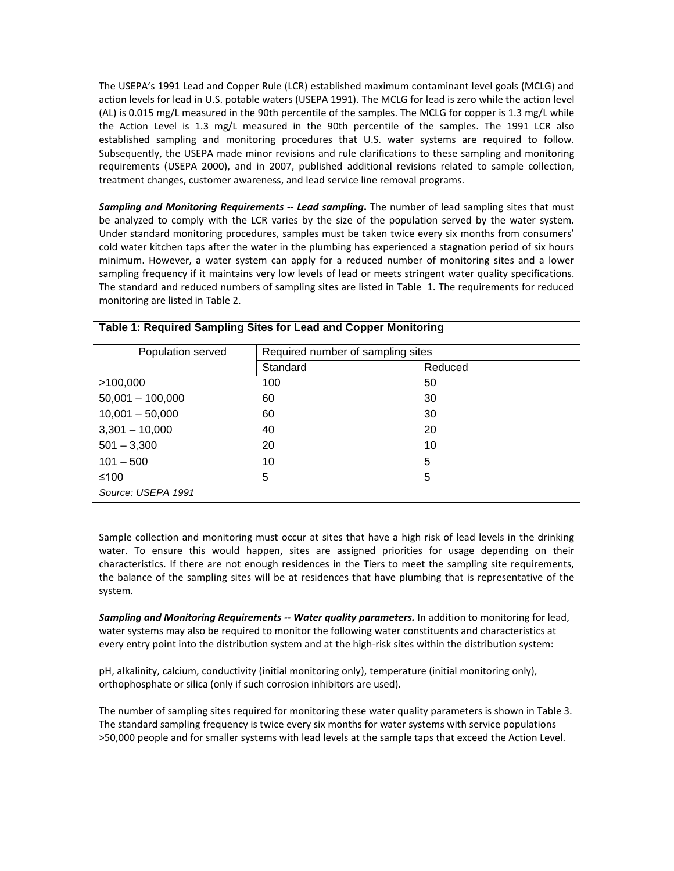The USEPA's 1991 Lead and Copper Rule (LCR) established maximum contaminant level goals (MCLG) and action levels for lead in U.S. potable waters (USEPA 1991). The MCLG for lead is zero while the action level (AL) is 0.015 mg/L measured in the 90th percentile of the samples. The MCLG for copper is 1.3 mg/L while the Action Level is 1.3 mg/L measured in the 90th percentile of the samples. The 1991 LCR also established sampling and monitoring procedures that U.S. water systems are required to follow. Subsequently, the USEPA made minor revisions and rule clarifications to these sampling and monitoring requirements (USEPA 2000), and in 2007, published additional revisions related to sample collection, treatment changes, customer awareness, and lead service line removal programs.

*Sampling and Monitoring Requirements -- Lead sampling***.** The number of lead sampling sites that must be analyzed to comply with the LCR varies by the size of the population served by the water system. Under standard monitoring procedures, samples must be taken twice every six months from consumers' cold water kitchen taps after the water in the plumbing has experienced a stagnation period of six hours minimum. However, a water system can apply for a reduced number of monitoring sites and a lower sampling frequency if it maintains very low levels of lead or meets stringent water quality specifications. The standard and reduced numbers of sampling sites are listed in [Table](#page-1-0) 1. The requirements for reduced monitoring are listed in [Table 2](#page-2-0).

| Population served  | Required number of sampling sites |         |
|--------------------|-----------------------------------|---------|
|                    | Standard                          | Reduced |
| >100,000           | 100                               | 50      |
| $50,001 - 100,000$ | 60                                | 30      |
| $10,001 - 50,000$  | 60                                | 30      |
| $3,301 - 10,000$   | 40                                | 20      |
| $501 - 3,300$      | 20                                | 10      |
| $101 - 500$        | 10                                | 5       |
| ≤100               | 5                                 | 5       |
| Source: USEPA 1991 |                                   |         |

#### <span id="page-1-0"></span>**Table 1: Required Sampling Sites for Lead and Copper Monitoring**

Sample collection and monitoring must occur at sites that have a high risk of lead levels in the drinking water. To ensure this would happen, sites are assigned priorities for usage depending on their characteristics. If there are not enough residences in the Tiers to meet the sampling site requirements, the balance of the sampling sites will be at residences that have plumbing that is representative of the system.

*Sampling and Monitoring Requirements -- Water quality parameters.* In addition to monitoring for lead, water systems may also be required to monitor the following water constituents and characteristics at every entry point into the distribution system and at the high-risk sites within the distribution system:

pH, alkalinity, calcium, conductivity (initial monitoring only), temperature (initial monitoring only), orthophosphate or silica (only if such corrosion inhibitors are used).

The number of sampling sites required for monitoring these water quality parameters is shown in [Table 3](#page-3-0). The standard sampling frequency is twice every six months for water systems with service populations >50,000 people and for smaller systems with lead levels at the sample taps that exceed the Action Level.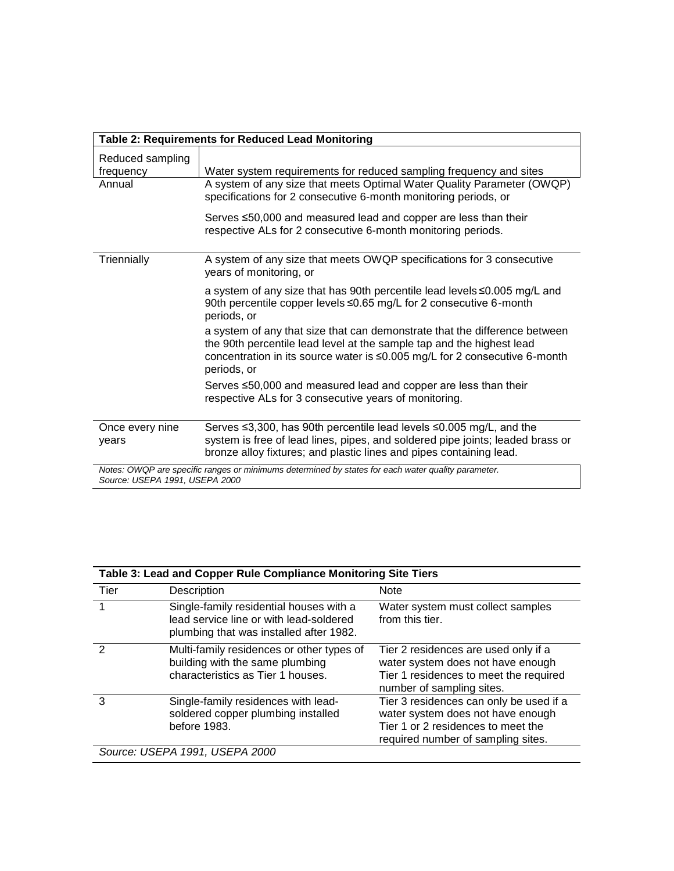<span id="page-2-0"></span>

| Table 2: Requirements for Reduced Lead Monitoring                                                                                    |                                                                                                                                                                                                                                                  |  |  |  |
|--------------------------------------------------------------------------------------------------------------------------------------|--------------------------------------------------------------------------------------------------------------------------------------------------------------------------------------------------------------------------------------------------|--|--|--|
| Reduced sampling<br>frequency                                                                                                        | Water system requirements for reduced sampling frequency and sites                                                                                                                                                                               |  |  |  |
| Annual                                                                                                                               | A system of any size that meets Optimal Water Quality Parameter (OWQP)<br>specifications for 2 consecutive 6-month monitoring periods, or                                                                                                        |  |  |  |
|                                                                                                                                      | Serves ≤50,000 and measured lead and copper are less than their<br>respective ALs for 2 consecutive 6-month monitoring periods.                                                                                                                  |  |  |  |
| Triennially                                                                                                                          | A system of any size that meets OWQP specifications for 3 consecutive<br>years of monitoring, or                                                                                                                                                 |  |  |  |
|                                                                                                                                      | a system of any size that has 90th percentile lead levels ≤0.005 mg/L and<br>90th percentile copper levels ≤0.65 mg/L for 2 consecutive 6-month<br>periods, or                                                                                   |  |  |  |
|                                                                                                                                      | a system of any that size that can demonstrate that the difference between<br>the 90th percentile lead level at the sample tap and the highest lead<br>concentration in its source water is ≤0.005 mg/L for 2 consecutive 6-month<br>periods, or |  |  |  |
|                                                                                                                                      | Serves ≤50,000 and measured lead and copper are less than their<br>respective ALs for 3 consecutive years of monitoring.                                                                                                                         |  |  |  |
| Once every nine<br>years                                                                                                             | Serves ≤3,300, has 90th percentile lead levels ≤0.005 mg/L, and the<br>system is free of lead lines, pipes, and soldered pipe joints; leaded brass or<br>bronze alloy fixtures; and plastic lines and pipes containing lead.                     |  |  |  |
| Notes: OWQP are specific ranges or minimums determined by states for each water quality parameter.<br>Source: USEPA 1991, USEPA 2000 |                                                                                                                                                                                                                                                  |  |  |  |

| Table 3: Lead and Copper Rule Compliance Monitoring Site Tiers |                                                                                                                               |                                                                                                                                                          |  |  |
|----------------------------------------------------------------|-------------------------------------------------------------------------------------------------------------------------------|----------------------------------------------------------------------------------------------------------------------------------------------------------|--|--|
| Tier                                                           | Description                                                                                                                   | <b>Note</b>                                                                                                                                              |  |  |
|                                                                | Single-family residential houses with a<br>lead service line or with lead-soldered<br>plumbing that was installed after 1982. | Water system must collect samples<br>from this tier.                                                                                                     |  |  |
|                                                                | Multi-family residences or other types of<br>building with the same plumbing<br>characteristics as Tier 1 houses.             | Tier 2 residences are used only if a<br>water system does not have enough<br>Tier 1 residences to meet the required<br>number of sampling sites.         |  |  |
| 3                                                              | Single-family residences with lead-<br>soldered copper plumbing installed<br>before 1983.                                     | Tier 3 residences can only be used if a<br>water system does not have enough<br>Tier 1 or 2 residences to meet the<br>required number of sampling sites. |  |  |
|                                                                | Source: USEPA 1991, USEPA 2000                                                                                                |                                                                                                                                                          |  |  |

 $\overline{\phantom{a}}$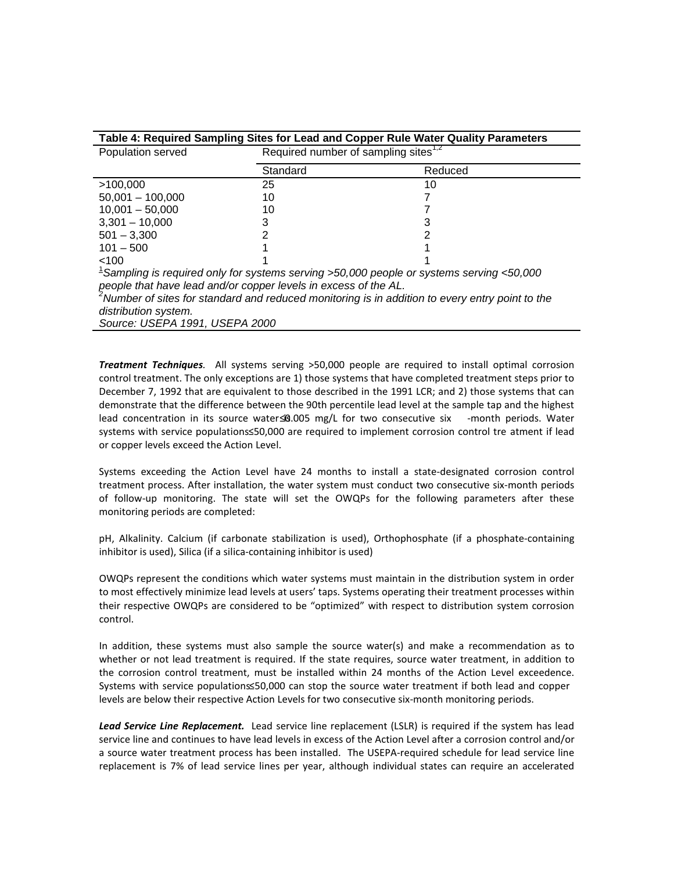<span id="page-3-0"></span>

| Table 4: Required Sampling Sites for Lead and Copper Rule Water Quality Parameters                            |          |                                                               |  |  |  |
|---------------------------------------------------------------------------------------------------------------|----------|---------------------------------------------------------------|--|--|--|
| Population served                                                                                             |          | Required number of sampling sites <sup><math>1,2</math></sup> |  |  |  |
|                                                                                                               | Standard | Reduced                                                       |  |  |  |
| >100,000                                                                                                      | 25       | 10                                                            |  |  |  |
| $50,001 - 100,000$                                                                                            | 10       |                                                               |  |  |  |
| $10,001 - 50,000$                                                                                             | 10       |                                                               |  |  |  |
| $3,301 - 10,000$                                                                                              | 3        |                                                               |  |  |  |
| $501 - 3.300$                                                                                                 |          |                                                               |  |  |  |
| $101 - 500$                                                                                                   |          |                                                               |  |  |  |
| < 100                                                                                                         |          |                                                               |  |  |  |
| $\textsuperscript{1}$ Sampling is required only for systems serving >50,000 people or systems serving <50,000 |          |                                                               |  |  |  |
| people that have lead and/or copper levels in excess of the AL.                                               |          |                                                               |  |  |  |
| <sup>2</sup> Number of sites for standard and reduced monitoring is in addition to every entry point to the   |          |                                                               |  |  |  |
| distribution system.                                                                                          |          |                                                               |  |  |  |
| Source: USEPA 1991, USEPA 2000                                                                                |          |                                                               |  |  |  |

*Treatment Techniques.* All systems serving >50,000 people are required to install optimal corrosion control treatment. The only exceptions are 1) those systems that have completed treatment steps prior to December 7, 1992 that are equivalent to those described in the 1991 LCR; and 2) those systems that can demonstrate that the difference between the 90th percentile lead level at the sample tap and the highest lead concentration in its source water <30.005 mg/L for two consecutive six -month periods. Water systems with service populations≤50,000 are required to implement corrosion control tre atment if lead or copper levels exceed the Action Level.

Systems exceeding the Action Level have 24 months to install a state-designated corrosion control treatment process. After installation, the water system must conduct two consecutive six-month periods of follow-up monitoring. The state will set the OWQPs for the following parameters after these monitoring periods are completed:

pH, Alkalinity. Calcium (if carbonate stabilization is used), Orthophosphate (if a phosphate-containing inhibitor is used), Silica (if a silica-containing inhibitor is used)

OWQPs represent the conditions which water systems must maintain in the distribution system in order to most effectively minimize lead levels at users' taps. Systems operating their treatment processes within their respective OWQPs are considered to be "optimized" with respect to distribution system corrosion control.

In addition, these systems must also sample the source water(s) and make a recommendation as to whether or not lead treatment is required. If the state requires, source water treatment, in addition to the corrosion control treatment, must be installed within 24 months of the Action Level exceedence. Systems with service population ≤50,000 can stop the source water treatment if both lead and copper levels are below their respective Action Levels for two consecutive six-month monitoring periods.

*Lead Service Line Replacement.* Lead service line replacement (LSLR) is required if the system has lead service line and continues to have lead levels in excess of the Action Level after a corrosion control and/or a source water treatment process has been installed. The USEPA-required schedule for lead service line replacement is 7% of lead service lines per year, although individual states can require an accelerated